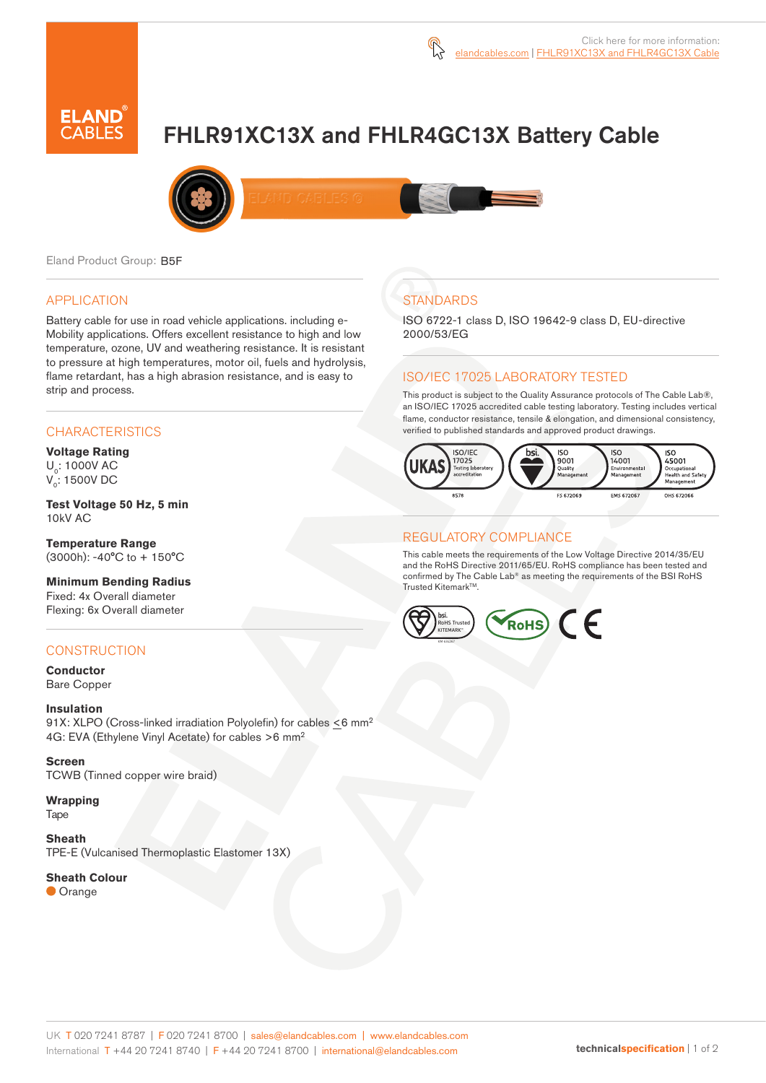

# FHLR91XC13X and FHLR4GC13X Battery Cable



Eland Product Group: B5F

#### APPLICATION

Battery cable for use in road vehicle applications. including e-Mobility applications. Offers excellent resistance to high and low temperature, ozone, UV and weathering resistance. It is resistant to pressure at high temperatures, motor oil, fuels and hydrolysis, flame retardant, has a high abrasion resistance, and is easy to strip and process.

### **CHARACTERISTICS**

**Voltage Rating**  U<sub>0</sub>: 1000V AC V<sub>0</sub>: 1500V DC

**Test Voltage 50 Hz, 5 min** 10kV AC

**Temperature Range**  (3000h): -40°C to + 150°C

**Minimum Bending Radius**

Fixed: 4x Overall diameter Flexing: 6x Overall diameter

### **CONSTRUCTION**

**Conductor** Bare Copper

### **Insulation**

91X: XLPO (Cross-linked irradiation Polyolefin) for cables <6 mm<sup>2</sup> 4G: EVA (Ethylene Vinyl Acetate) for cables >6 mm<sup>2</sup>

**Screen** TCWB (Tinned copper wire braid)

**Wrapping** Tape

**Sheath**

TPE-E (Vulcanised Thermoplastic Elastomer 13X)

#### **Sheath Colour**

**Orange** 

# **STANDARDS**

ISO 6722-1 class D, ISO 19642-9 class D, EU-directive 2000/53/EG

### ISO/IEC 17025 LABORATORY TESTED

This product is subject to the Quality Assurance protocols of The Cable Lab®, an ISO/IEC 17025 accredited cable testing laboratory. Testing includes vertical flame, conductor resistance, tensile & elongation, and dimensional consistency, verified to published standards and approved product drawings.



### REGULATORY COMPLIANCE

This cable meets the requirements of the Low Voltage Directive 2014/35/EU and the RoHS Directive 2011/65/EU. RoHS compliance has been tested and confirmed by The Cable Lab® as meeting the requirements of the BSI RoHS Trusted KitemarkTM.

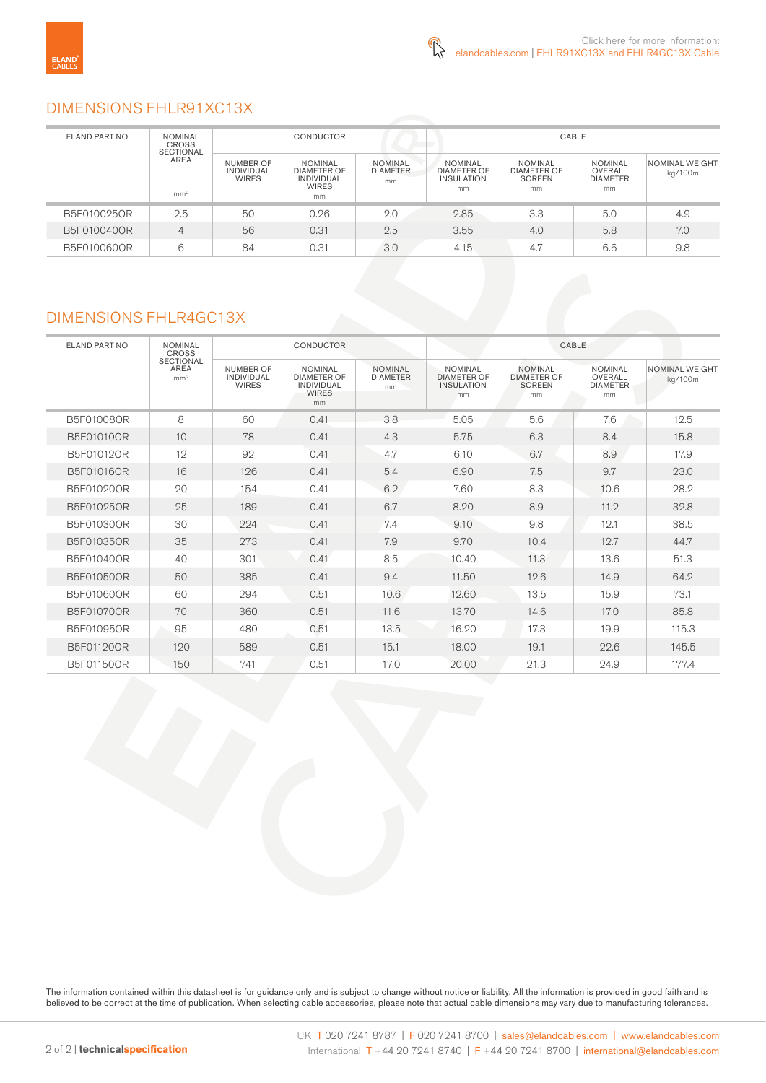### DIMENSIONS FHLR91XC13X

| ELAND PART NO.                              | <b>NOMINAL</b><br><b>CROSS</b> | <b>CONDUCTOR</b>                        |                                                                                 |                                         | CABLE                                                           |                                                             |                                                    |                           |
|---------------------------------------------|--------------------------------|-----------------------------------------|---------------------------------------------------------------------------------|-----------------------------------------|-----------------------------------------------------------------|-------------------------------------------------------------|----------------------------------------------------|---------------------------|
| <b>SECTIONAL</b><br>AREA<br>mm <sup>2</sup> |                                | NUMBER OF<br>INDIVIDUAL<br><b>WIRES</b> | <b>NOMINAL</b><br><b>DIAMETER OF</b><br><b>INDIVIDUAL</b><br><b>WIRES</b><br>mm | <b>NOMINAL</b><br><b>DIAMETER</b><br>mm | <b>NOMINAL</b><br><b>DIAMETER OF</b><br><b>INSULATION</b><br>mm | <b>NOMINAL</b><br><b>DIAMETER OF</b><br><b>SCREEN</b><br>mm | <b>NOMINAL</b><br>OVERALL<br><b>DIAMETER</b><br>mm | NOMINAL WEIGHT<br>kg/100m |
| B5F010025OR                                 | 2.5                            | 50                                      | 0.26                                                                            | 2.0                                     | 2.85                                                            | 3.3                                                         | 5.0                                                | 4.9                       |
| B5F010040OR                                 | 4                              | 56                                      | 0.31                                                                            | 2.5                                     | 3.55                                                            | 4.0                                                         | 5.8                                                | 7.0                       |
| B5F010060OR                                 | 6                              | 84                                      | 0.31                                                                            | 3.0                                     | 4.15                                                            | 4.7                                                         | 6.6                                                | 9.8                       |

### DIMENSIONS FHLR4GC13X

|                |                                                                                      | <b>CONDUCTOR</b>                               |                                                                          |                                         | CABLE                                                           |                                                             |                                                     |                           |
|----------------|--------------------------------------------------------------------------------------|------------------------------------------------|--------------------------------------------------------------------------|-----------------------------------------|-----------------------------------------------------------------|-------------------------------------------------------------|-----------------------------------------------------|---------------------------|
| ELAND PART NO. | <b>NOMINAL</b><br><b>CROSS</b><br><b>SECTIONAL</b><br><b>AREA</b><br>mm <sup>2</sup> |                                                |                                                                          |                                         |                                                                 |                                                             |                                                     |                           |
|                |                                                                                      | NUMBER OF<br><b>INDIVIDUAL</b><br><b>WIRES</b> | <b>NOMINAL</b><br><b>DIAMETER OF</b><br>INDIVIDUAL<br><b>WIRES</b><br>mm | <b>NOMINAL</b><br><b>DIAMETER</b><br>mm | <b>NOMINAL</b><br><b>DIAMETER OF</b><br><b>INSULATION</b><br>mm | <b>NOMINAL</b><br><b>DIAMETER OF</b><br><b>SCREEN</b><br>mm | <b>NOMINAL</b><br>OVERALL<br><b>DIAMETER</b><br>mm. | NOMINAL WEIGHT<br>kg/100m |
| B5F01008OR     | 8                                                                                    | 60                                             | 0.41                                                                     | 3.8                                     | 5.05                                                            | 5.6                                                         | 7.6                                                 | 12.5                      |
| B5F01010OR     | 10                                                                                   | 78                                             | 0.41                                                                     | 4.3                                     | 5.75                                                            | 6.3                                                         | 8.4                                                 | 15.8                      |
| B5F01012OR     | 12                                                                                   | 92                                             | 0.41                                                                     | 4.7                                     | 6.10                                                            | 6.7                                                         | 8.9                                                 | 17.9                      |
| B5F01016OR     | 16                                                                                   | 126                                            | 0.41                                                                     | 5.4                                     | 6.90                                                            | 7.5                                                         | 9.7                                                 | 23.0                      |
| B5F01020OR     | 20                                                                                   | 154                                            | 0.41                                                                     | 6.2                                     | 7.60                                                            | 8.3                                                         | 10.6                                                | 28.2                      |
| B5F01025OR     | 25                                                                                   | 189                                            | 0.41                                                                     | 6.7                                     | 8.20                                                            | 8.9                                                         | 11.2                                                | 32.8                      |
| B5F01030OR     | 30                                                                                   | 224                                            | 0.41                                                                     | 7.4                                     | 9.10                                                            | 9.8                                                         | 12.1                                                | 38.5                      |
| B5F01035OR     | 35                                                                                   | 273                                            | 0.41                                                                     | 7.9                                     | 9.70                                                            | 10.4                                                        | 12.7                                                | 44.7                      |
| B5F01040OR     | 40                                                                                   | 301                                            | 0.41                                                                     | 8.5                                     | 10.40                                                           | 11.3                                                        | 13.6                                                | 51.3                      |
| B5F01050OR     | 50                                                                                   | 385                                            | 0.41                                                                     | 9.4                                     | 11.50                                                           | 12.6                                                        | 14.9                                                | 64.2                      |
| B5F01060OR     | 60                                                                                   | 294                                            | 0.51                                                                     | 10.6                                    | 12.60                                                           | 13.5                                                        | 15.9                                                | 73.1                      |
| B5F01070OR     | 70                                                                                   | 360                                            | 0.51                                                                     | 11.6                                    | 13.70                                                           | 14.6                                                        | 17.0                                                | 85.8                      |
| B5F01095OR     | 95                                                                                   | 480                                            | 0.51                                                                     | 13.5                                    | 16.20                                                           | 17.3                                                        | 19.9                                                | 115.3                     |
| B5F011200R     | 120                                                                                  | 589                                            | 0.51                                                                     | 15.1                                    | 18.00                                                           | 19.1                                                        | 22.6                                                | 145.5                     |
| B5F01150OR     | 150                                                                                  | 741                                            | 0.51                                                                     | 17.0                                    | 20.00                                                           | 21.3                                                        | 24.9                                                | 177.4                     |

The information contained within this datasheet is for guidance only and is subject to change without notice or liability. All the information is provided in good faith and is believed to be correct at the time of publication. When selecting cable accessories, please note that actual cable dimensions may vary due to manufacturing tolerances.